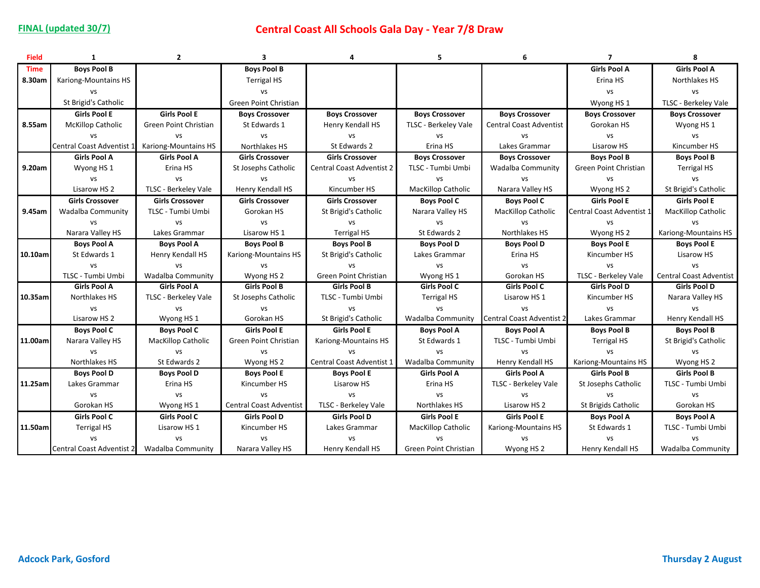| <b>Field</b> | $\mathbf{1}$                                 | $\overline{2}$              | $\overline{\mathbf{3}}$        | 4                                | 5                         | 6                              | $\overline{7}$            | 8                              |
|--------------|----------------------------------------------|-----------------------------|--------------------------------|----------------------------------|---------------------------|--------------------------------|---------------------------|--------------------------------|
| <b>Time</b>  | <b>Boys Pool B</b>                           |                             | <b>Boys Pool B</b>             |                                  |                           |                                | <b>Girls Pool A</b>       | <b>Girls Pool A</b>            |
| 8.30am       | Kariong-Mountains HS                         |                             | <b>Terrigal HS</b>             |                                  |                           |                                | Erina HS                  | Northlakes HS                  |
|              | <b>VS</b>                                    |                             | vs                             |                                  |                           |                                | vs                        | vs                             |
|              | St Brigid's Catholic                         |                             | Green Point Christian          |                                  |                           |                                | Wyong HS 1                | TLSC - Berkeley Vale           |
|              | <b>Girls Pool E</b>                          | <b>Girls Pool E</b>         | <b>Boys Crossover</b>          | <b>Boys Crossover</b>            | <b>Boys Crossover</b>     | <b>Boys Crossover</b>          | <b>Boys Crossover</b>     | <b>Boys Crossover</b>          |
| 8.55am       | <b>McKillop Catholic</b>                     | Green Point Christian       | St Edwards 1                   | Henry Kendall HS                 | TLSC - Berkeley Vale      | <b>Central Coast Adventist</b> | Gorokan HS                | Wyong HS 1                     |
|              | VS                                           | <b>VS</b>                   | vs                             | VS                               | VS                        | <b>VS</b>                      | vs                        | vs                             |
|              | Central Coast Adventist 1                    | <b>Kariong-Mountains HS</b> | Northlakes HS                  | St Edwards 2                     | Erina HS                  | Lakes Grammar                  | Lisarow HS                | Kincumber HS                   |
|              | <b>Girls Pool A</b>                          | <b>Girls Pool A</b>         | <b>Girls Crossover</b>         | <b>Girls Crossover</b>           | <b>Boys Crossover</b>     | <b>Boys Crossover</b>          | <b>Boys Pool B</b>        | <b>Boys Pool B</b>             |
| 9.20am       | Wyong HS 1                                   | Erina HS                    | St Josephs Catholic            | <b>Central Coast Adventist 2</b> | TLSC - Tumbi Umbi         | Wadalba Community              | Green Point Christian     | <b>Terrigal HS</b>             |
|              | vs                                           | <b>VS</b>                   | vs                             | vs                               | VS                        | <b>VS</b>                      | vs                        | vs                             |
|              | Lisarow HS 2                                 | TLSC - Berkeley Vale        | Henry Kendall HS               | Kincumber HS                     | <b>MacKillop Catholic</b> | Narara Valley HS               | Wyong HS <sub>2</sub>     | St Brigid's Catholic           |
|              | <b>Girls Crossover</b>                       | <b>Girls Crossover</b>      | <b>Girls Crossover</b>         | <b>Girls Crossover</b>           | <b>Boys Pool C</b>        | <b>Boys Pool C</b>             | <b>Girls Pool E</b>       | <b>Girls Pool E</b>            |
| 9.45am       | <b>Wadalba Community</b>                     | TLSC - Tumbi Umbi           | Gorokan HS                     | St Brigid's Catholic             | Narara Valley HS          | <b>MacKillop Catholic</b>      | Central Coast Adventist 1 | <b>MacKillop Catholic</b>      |
|              | <b>VS</b>                                    | <b>VS</b>                   | vs                             | <b>VS</b>                        | VS                        | vs                             | vs                        | <b>VS</b>                      |
|              | Narara Valley HS                             | Lakes Grammar               | Lisarow HS 1                   | <b>Terrigal HS</b>               | St Edwards 2              | Northlakes HS                  | Wyong HS 2                | Kariong-Mountains HS           |
|              | <b>Boys Pool A</b>                           | <b>Boys Pool A</b>          | <b>Boys Pool B</b>             | <b>Boys Pool B</b>               | <b>Boys Pool D</b>        | <b>Boys Pool D</b>             | <b>Boys Pool E</b>        | <b>Boys Pool E</b>             |
| 10.10am      | St Edwards 1                                 | Henry Kendall HS            | Kariong-Mountains HS           | St Brigid's Catholic             | Lakes Grammar             | Erina HS                       | Kincumber HS              | Lisarow HS                     |
|              | <b>VS</b>                                    | VS                          | <b>VS</b>                      | <b>VS</b>                        | <b>VS</b>                 | <b>VS</b>                      | <b>VS</b>                 | vs                             |
|              | TLSC - Tumbi Umbi                            | Wadalba Community           | Wyong HS <sub>2</sub>          | Green Point Christian            | Wyong HS <sub>1</sub>     | Gorokan HS                     | TLSC - Berkeley Vale      | <b>Central Coast Adventist</b> |
|              | <b>Girls Pool A</b>                          | <b>Girls Pool A</b>         | <b>Girls Pool B</b>            | <b>Girls Pool B</b>              | <b>Girls Pool C</b>       | <b>Girls Pool C</b>            | <b>Girls Pool D</b>       | <b>Girls Pool D</b>            |
| 10.35am      | Northlakes HS                                | TLSC - Berkeley Vale        | St Josephs Catholic            | TLSC - Tumbi Umbi                | <b>Terrigal HS</b>        | Lisarow HS 1                   | Kincumber HS              | Narara Valley HS               |
|              | vs                                           | VS                          | vs                             | <b>VS</b>                        | VS                        | <b>VS</b>                      | vs                        | vs                             |
|              | Lisarow HS 2                                 | Wyong HS 1                  | Gorokan HS                     | St Brigid's Catholic             | Wadalba Community         | Central Coast Adventist 2      | Lakes Grammar             | Henry Kendall HS               |
|              | <b>Boys Pool C</b>                           | <b>Boys Pool C</b>          | <b>Girls Pool E</b>            | <b>Girls Pool E</b>              | <b>Boys Pool A</b>        | <b>Boys Pool A</b>             | <b>Boys Pool B</b>        | <b>Boys Pool B</b>             |
| 11.00am      | Narara Valley HS                             | <b>MacKillop Catholic</b>   | Green Point Christian          | Kariong-Mountains HS             | St Edwards 1              | TLSC - Tumbi Umbi              | <b>Terrigal HS</b>        | St Brigid's Catholic           |
|              | <b>VS</b>                                    | vs                          | vs                             | <b>VS</b>                        | VS                        | <b>VS</b>                      | <b>VS</b>                 | vs                             |
|              | Northlakes HS                                | St Edwards 2                | Wyong HS 2                     | Central Coast Adventist 1        | Wadalba Community         | Henry Kendall HS               | Kariong-Mountains HS      | Wyong HS 2                     |
|              | <b>Boys Pool D</b>                           | <b>Boys Pool D</b>          | <b>Boys Pool E</b>             | <b>Boys Pool E</b>               | <b>Girls Pool A</b>       | <b>Girls Pool A</b>            | <b>Girls Pool B</b>       | <b>Girls Pool B</b>            |
| 11.25am      | Lakes Grammar                                | Erina HS                    | Kincumber HS                   | Lisarow HS                       | Erina HS                  | TLSC - Berkeley Vale           | St Josephs Catholic       | TLSC - Tumbi Umbi              |
|              | vs                                           | vs                          | vs                             | <b>VS</b>                        | VS                        | vs                             | VS                        | vs                             |
|              | Gorokan HS                                   | Wyong HS 1                  | <b>Central Coast Adventist</b> | TLSC - Berkeley Vale             | Northlakes HS             | Lisarow HS 2                   | St Brigids Catholic       | Gorokan HS                     |
|              | <b>Girls Pool C</b>                          | <b>Girls Pool C</b>         | <b>Girls Pool D</b>            | <b>Girls Pool D</b>              | <b>Girls Pool E</b>       | <b>Girls Pool E</b>            | <b>Boys Pool A</b>        | <b>Boys Pool A</b>             |
| 11.50am      | <b>Terrigal HS</b>                           | Lisarow HS 1                | Kincumber HS                   | Lakes Grammar                    | <b>MacKillop Catholic</b> | Kariong-Mountains HS           | St Edwards 1              | TLSC - Tumbi Umbi              |
|              | VS                                           | VS                          | vs                             | <b>VS</b>                        | VS                        | vs                             | <b>VS</b>                 | vs                             |
|              | Central Coast Adventist 2  Wadalba Community |                             | Narara Valley HS               | Henry Kendall HS                 | Green Point Christian     | Wyong HS 2                     | Henry Kendall HS          | <b>Wadalba Community</b>       |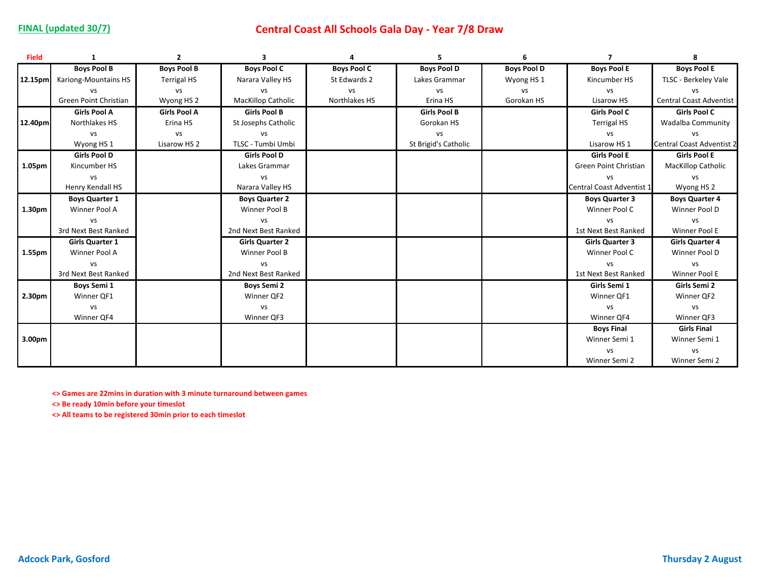## **FINAL (updated 30/7) Central Coast All Schools Gala Day - Year 7/8 Draw**

| <b>Field</b>       | 1                      | $\overline{2}$      | 3                         | $\Delta$           | 5                    | 6                  | 7                         | 8                                |
|--------------------|------------------------|---------------------|---------------------------|--------------------|----------------------|--------------------|---------------------------|----------------------------------|
|                    | <b>Boys Pool B</b>     | <b>Boys Pool B</b>  | <b>Boys Pool C</b>        | <b>Boys Pool C</b> | <b>Boys Pool D</b>   | <b>Boys Pool D</b> | <b>Boys Pool E</b>        | <b>Boys Pool E</b>               |
| 12.15pm            | Kariong-Mountains HS   | <b>Terrigal HS</b>  | Narara Valley HS          | St Edwards 2       | Lakes Grammar        | Wyong HS 1         | Kincumber HS              | TLSC - Berkeley Vale             |
|                    | <b>VS</b>              | VS                  | <b>VS</b>                 | VS                 | VS                   | vs                 | <b>VS</b>                 | <b>VS</b>                        |
|                    | Green Point Christian  | Wyong HS 2          | <b>MacKillop Catholic</b> | Northlakes HS      | Erina HS             | Gorokan HS         | Lisarow HS                | <b>Central Coast Adventist</b>   |
|                    | <b>Girls Pool A</b>    | <b>Girls Pool A</b> | <b>Girls Pool B</b>       |                    | <b>Girls Pool B</b>  |                    | Girls Pool C              | Girls Pool C                     |
| 12.40pm            | Northlakes HS          | Erina HS            | St Josephs Catholic       |                    | Gorokan HS           |                    | <b>Terrigal HS</b>        | <b>Wadalba Community</b>         |
|                    | <b>VS</b>              | <b>VS</b>           | VS                        |                    | <b>VS</b>            |                    | VS                        | <b>VS</b>                        |
|                    | Wyong HS <sub>1</sub>  | Lisarow HS 2        | TLSC - Tumbi Umbi         |                    | St Brigid's Catholic |                    | Lisarow HS 1              | <b>Central Coast Adventist 2</b> |
|                    | <b>Girls Pool D</b>    |                     | <b>Girls Pool D</b>       |                    |                      |                    | <b>Girls Pool E</b>       | <b>Girls Pool E</b>              |
| 1.05pm             | Kincumber HS           |                     | Lakes Grammar             |                    |                      |                    | Green Point Christian     | <b>MacKillop Catholic</b>        |
|                    | vs                     |                     | <b>VS</b>                 |                    |                      |                    | <b>VS</b>                 | VS                               |
|                    | Henry Kendall HS       |                     | Narara Valley HS          |                    |                      |                    | Central Coast Adventist 1 | Wyong HS 2                       |
|                    | <b>Boys Quarter 1</b>  |                     | <b>Boys Quarter 2</b>     |                    |                      |                    | <b>Boys Quarter 3</b>     | <b>Boys Quarter 4</b>            |
| 1.30 <sub>pm</sub> | Winner Pool A          |                     | Winner Pool B             |                    |                      |                    | Winner Pool C             | Winner Pool D                    |
|                    | vs                     |                     | <b>VS</b>                 |                    |                      |                    | <b>VS</b>                 | vs                               |
|                    | 3rd Next Best Ranked   |                     | 2nd Next Best Ranked      |                    |                      |                    | 1st Next Best Ranked      | Winner Pool E                    |
|                    | <b>Girls Quarter 1</b> |                     | <b>Girls Quarter 2</b>    |                    |                      |                    | <b>Girls Quarter 3</b>    | <b>Girls Quarter 4</b>           |
| 1.55pm             | Winner Pool A          |                     | Winner Pool B             |                    |                      |                    | Winner Pool C             | Winner Pool D                    |
|                    | <b>VS</b>              |                     | vs                        |                    |                      |                    | VS                        | vs                               |
|                    | 3rd Next Best Ranked   |                     | 2nd Next Best Ranked      |                    |                      |                    | 1st Next Best Ranked      | Winner Pool E                    |
|                    | <b>Boys Semi 1</b>     |                     | <b>Boys Semi 2</b>        |                    |                      |                    | Girls Semi 1              | Girls Semi 2                     |
| 2.30pm             | Winner QF1             |                     | Winner QF2                |                    |                      |                    | Winner QF1                | Winner QF2                       |
|                    | vs                     |                     | vs                        |                    |                      |                    | VS                        | vs                               |
|                    | Winner QF4             |                     | Winner QF3                |                    |                      |                    | Winner QF4                | Winner QF3                       |
|                    |                        |                     |                           |                    |                      |                    | <b>Boys Final</b>         | <b>Girls Final</b>               |
| 3.00 <sub>pm</sub> |                        |                     |                           |                    |                      |                    | Winner Semi 1             | Winner Semi 1                    |
|                    |                        |                     |                           |                    |                      |                    | <b>VS</b>                 | vs                               |
|                    |                        |                     |                           |                    |                      |                    | Winner Semi 2             | Winner Semi 2                    |

**<> Games are 22mins in duration with 3 minute turnaround between games**

**<> Be ready 10min before your timeslot**

**<> All teams to be registered 30min prior to each timeslot**